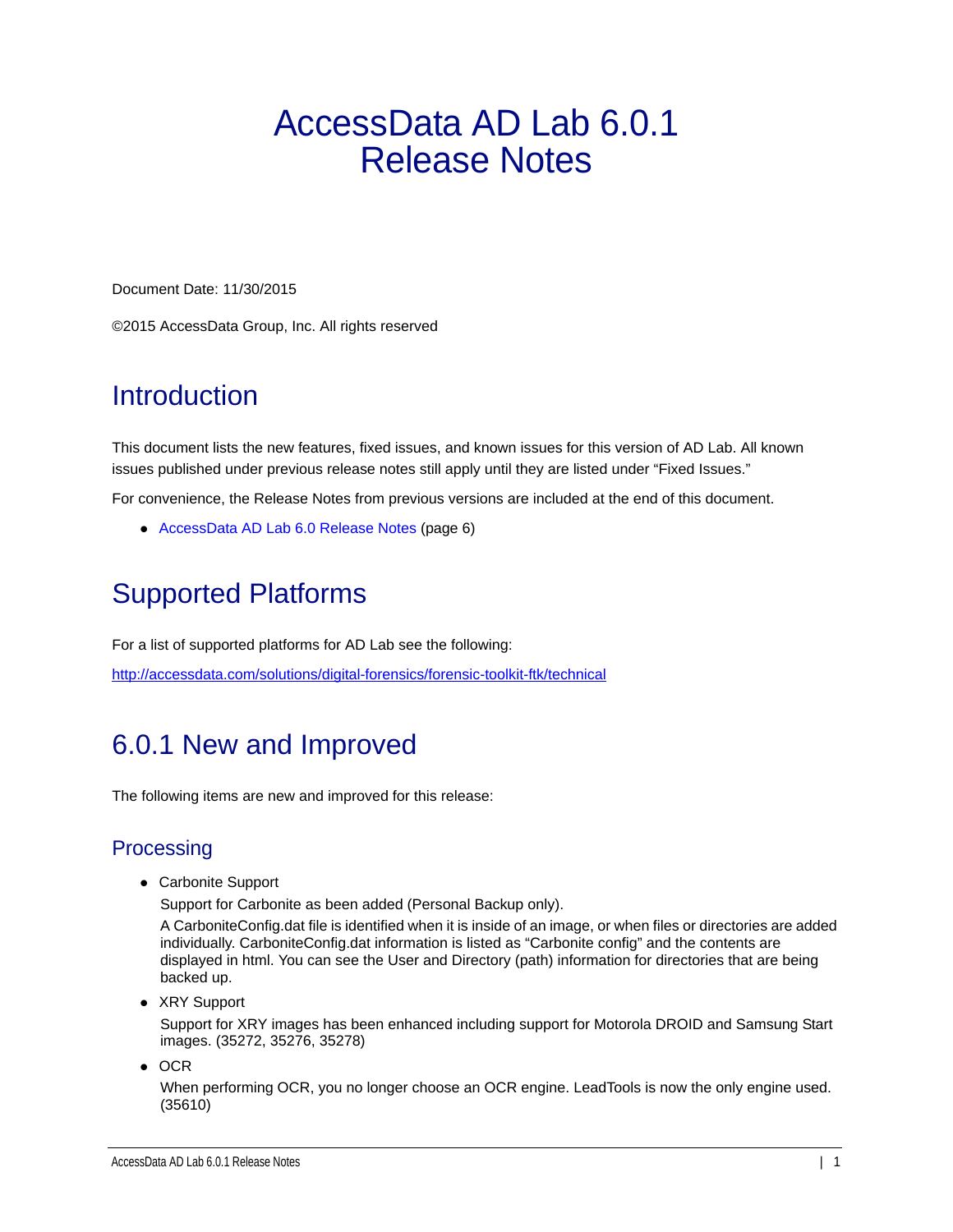# AccessData AD Lab 6.0.1 Release Notes

Document Date: 11/30/2015

©2015 AccessData Group, Inc. All rights reserved

# **Introduction**

This document lists the new features, fixed issues, and known issues for this version of AD Lab. All known issues published under previous release notes still apply until they are listed under "Fixed Issues."

For convenience, the Release Notes from previous versions are included at the end of this document.

[AccessData AD Lab 6.0 Release Notes \(page 6\)](#page-5-0)

# Supported Platforms

For a list of supported platforms for AD Lab see the following:

<http://accessdata.com/solutions/digital-forensics/forensic-toolkit-ftk/technical>

## 6.0.1 New and Improved

The following items are new and improved for this release:

## **Processing**

Carbonite Support

Support for Carbonite as been added (Personal Backup only).

A CarboniteConfig.dat file is identified when it is inside of an image, or when files or directories are added individually. CarboniteConfig.dat information is listed as "Carbonite config" and the contents are displayed in html. You can see the User and Directory (path) information for directories that are being backed up.

• XRY Support

Support for XRY images has been enhanced including support for Motorola DROID and Samsung Start images. (35272, 35276, 35278)

 $\bullet$  OCR

When performing OCR, you no longer choose an OCR engine. LeadTools is now the only engine used. (35610)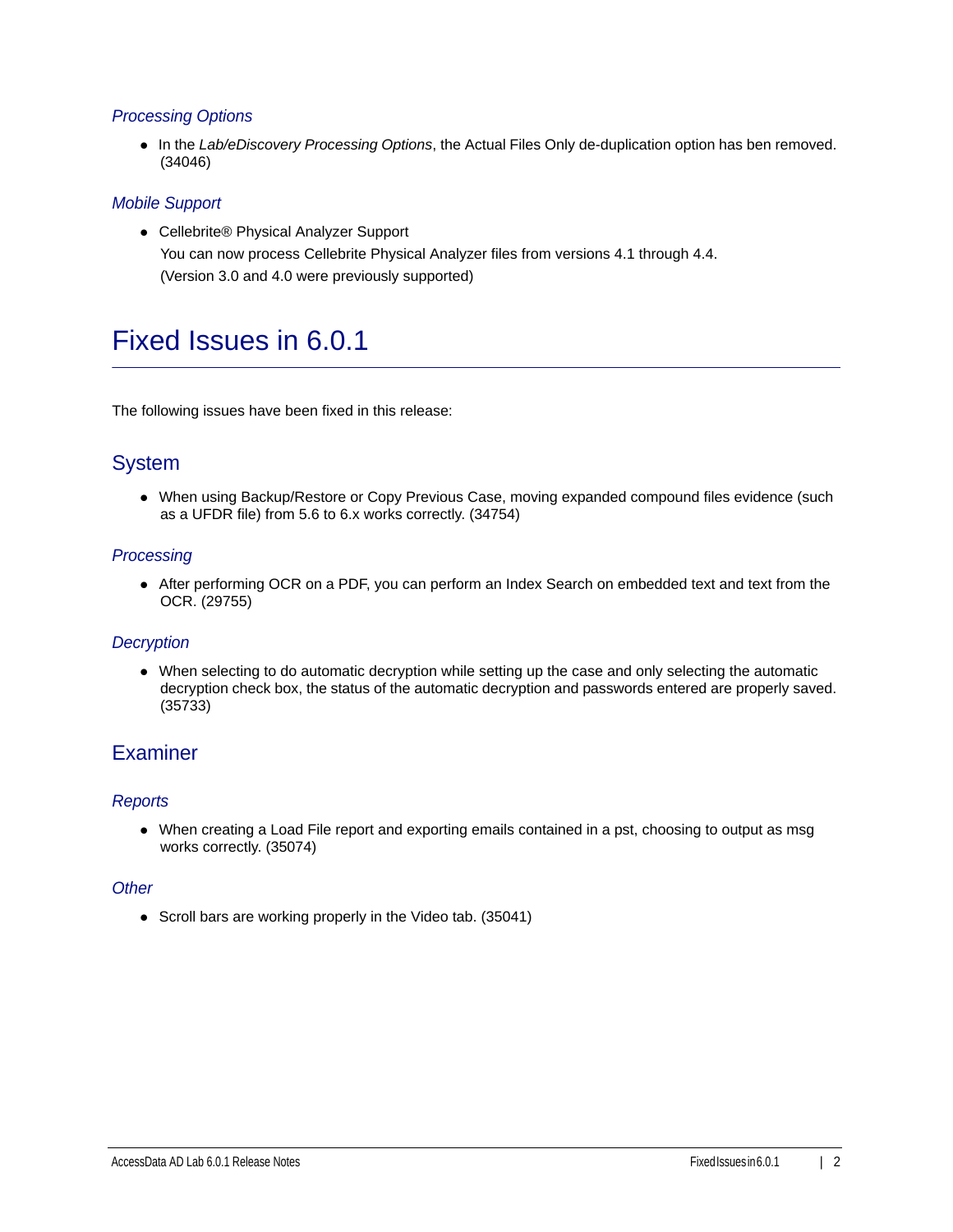## *Processing Options*

In the *Lab/eDiscovery Processing Options*, the Actual Files Only de-duplication option has ben removed. (34046)

## *Mobile Support*

● Cellebrite® Physical Analyzer Support You can now process Cellebrite Physical Analyzer files from versions 4.1 through 4.4. (Version 3.0 and 4.0 were previously supported)

## Fixed Issues in 6.0.1

The following issues have been fixed in this release:

## System

When using Backup/Restore or Copy Previous Case, moving expanded compound files evidence (such as a UFDR file) from 5.6 to 6.x works correctly. (34754)

## *Processing*

After performing OCR on a PDF, you can perform an Index Search on embedded text and text from the OCR. (29755)

## *Decryption*

When selecting to do automatic decryption while setting up the case and only selecting the automatic decryption check box, the status of the automatic decryption and passwords entered are properly saved. (35733)

## **Examiner**

## *Reports*

When creating a Load File report and exporting emails contained in a pst, choosing to output as msg works correctly. (35074)

### *Other*

• Scroll bars are working properly in the Video tab. (35041)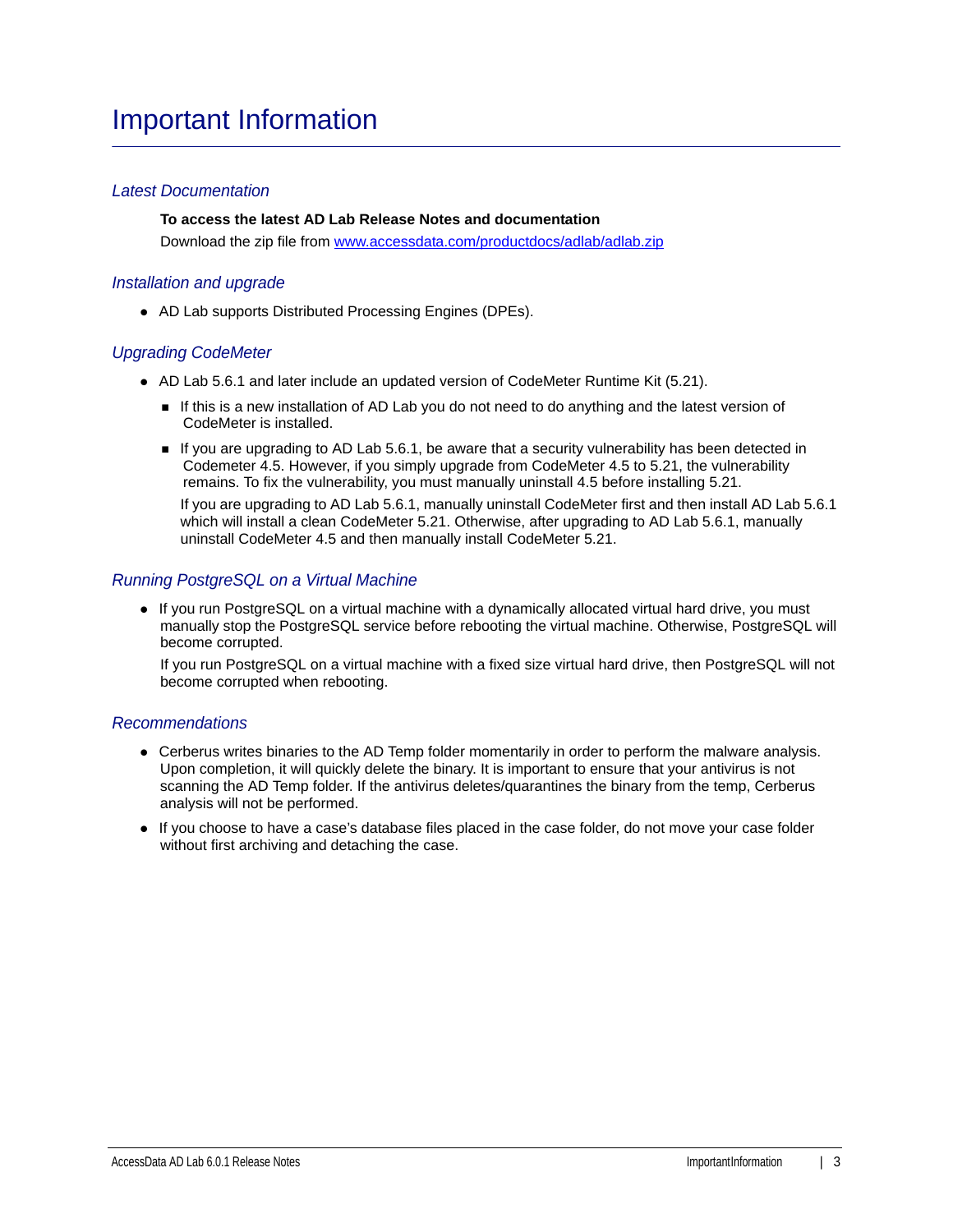## Important Information

## *Latest Documentation*

**To access the latest AD Lab Release Notes and documentation** Download the zip file from <www.accessdata.com/productdocs/adlab/adlab.zip>

### *Installation and upgrade*

AD Lab supports Distributed Processing Engines (DPEs).

### *Upgrading CodeMeter*

- AD Lab 5.6.1 and later include an updated version of CodeMeter Runtime Kit (5.21).
	- If this is a new installation of AD Lab you do not need to do anything and the latest version of CodeMeter is installed.
	- If you are upgrading to AD Lab 5.6.1, be aware that a security vulnerability has been detected in Codemeter 4.5. However, if you simply upgrade from CodeMeter 4.5 to 5.21, the vulnerability remains. To fix the vulnerability, you must manually uninstall 4.5 before installing 5.21.

If you are upgrading to AD Lab 5.6.1, manually uninstall CodeMeter first and then install AD Lab 5.6.1 which will install a clean CodeMeter 5.21. Otherwise, after upgrading to AD Lab 5.6.1, manually uninstall CodeMeter 4.5 and then manually install CodeMeter 5.21.

### *Running PostgreSQL on a Virtual Machine*

• If you run PostgreSQL on a virtual machine with a dynamically allocated virtual hard drive, you must manually stop the PostgreSQL service before rebooting the virtual machine. Otherwise, PostgreSQL will become corrupted.

If you run PostgreSQL on a virtual machine with a fixed size virtual hard drive, then PostgreSQL will not become corrupted when rebooting.

### *Recommendations*

- Cerberus writes binaries to the AD Temp folder momentarily in order to perform the malware analysis. Upon completion, it will quickly delete the binary. It is important to ensure that your antivirus is not scanning the AD Temp folder. If the antivirus deletes/quarantines the binary from the temp, Cerberus analysis will not be performed.
- If you choose to have a case's database files placed in the case folder, do not move your case folder without first archiving and detaching the case.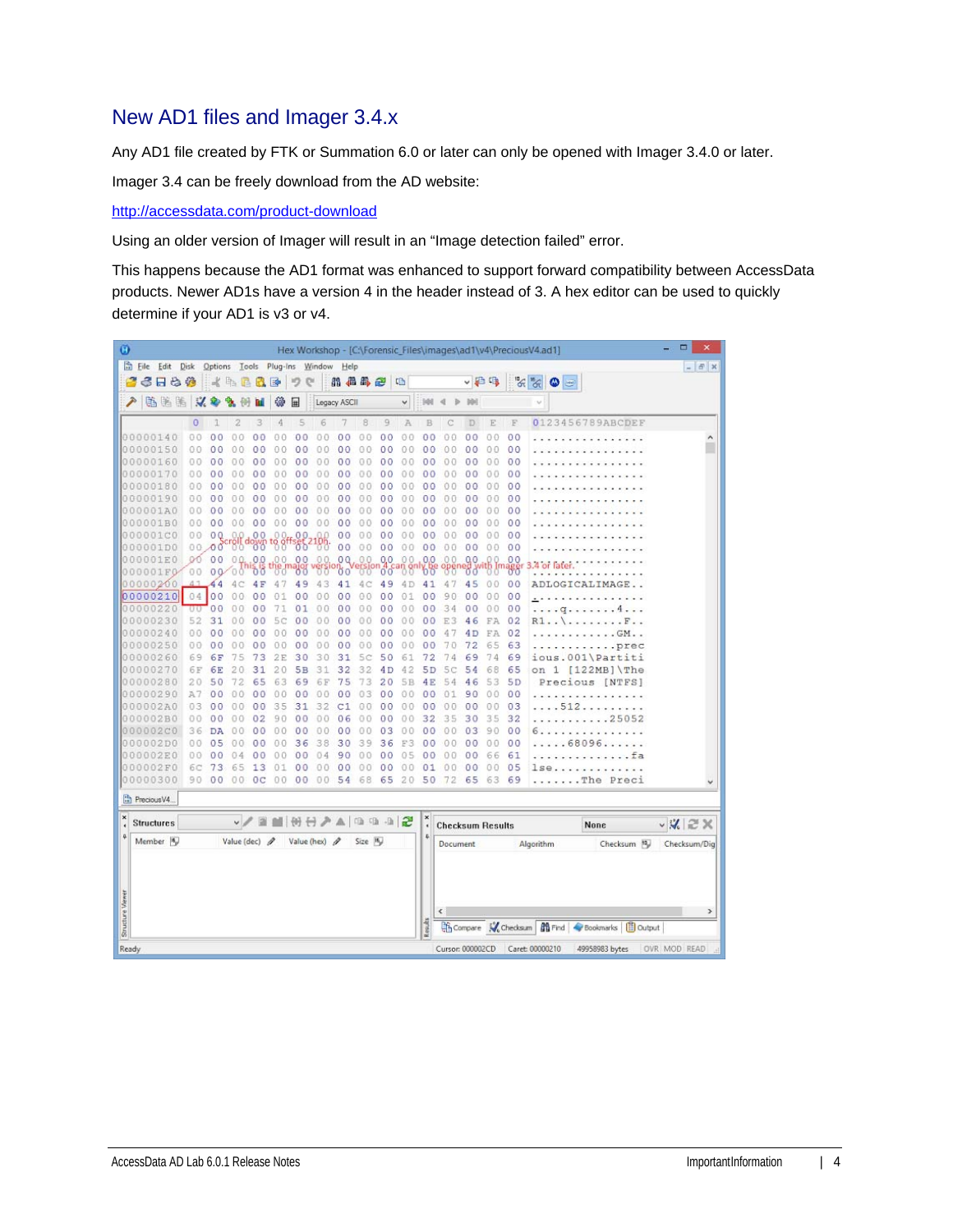## New AD1 files and Imager 3.4.x

Any AD1 file created by FTK or Summation 6.0 or later can only be opened with Imager 3.4.0 or later.

Imager 3.4 can be freely download from the AD website:

<http://accessdata.com/product-download>

Using an older version of Imager will result in an "Image detection failed" error.

This happens because the AD1 format was enhanced to support forward compatibility between AccessData products. Newer AD1s have a version 4 in the header instead of 3. A hex editor can be used to quickly determine if your AD1 is v3 or v4.

| Ø                |                      |                |                |                                    |                |           |                      |                 |                |                |                |                |                              |                         |                |                |                | Hex Workshop - [C:\Forensic_Files\images\ad1\v4\PreciousV4.ad1] | ۰<br>$\boldsymbol{\mathsf{x}}$ |
|------------------|----------------------|----------------|----------------|------------------------------------|----------------|-----------|----------------------|-----------------|----------------|----------------|----------------|----------------|------------------------------|-------------------------|----------------|----------------|----------------|-----------------------------------------------------------------|--------------------------------|
|                  | Eile Edit Disk       |                |                | Options Tools Plug-Ins Window Help |                |           |                      |                 |                |                |                |                |                              |                         |                |                |                |                                                                 | $  \in$ $x$                    |
|                  | 6 F & #              |                |                | 《毛星代国                              |                |           | 吵                    | e               |                | 品品品色           |                | 唱              |                              |                         | ↓日吗            |                |                | $\frac{1}{\sqrt{2}}\sum_{i=1}^{\infty}$<br>٥<br>$\equiv$        |                                |
| ₽                | 临海路                  | $\mathcal{A}$  |                |                                    |                | 镲         | 匣                    |                 | Legacy ASCII   |                |                | ٧              | 988                          |                         |                |                |                |                                                                 |                                |
|                  |                      | $\circ$        |                | 2                                  | 3              | 4         | 5                    | 6               |                | 8              | 9              | A              | B                            |                         | D              | Ē              | F              | 0123456789ABCDEF                                                |                                |
|                  | 00000140             | 0 <sub>0</sub> | 0 <sup>0</sup> | O                                  | 0 <sub>0</sub> | 0.0       | 0 <sub>0</sub>       | 0.O             | 00             | 00             | 00             | 00             | 0 <sub>0</sub>               | 0<br>Ð                  | 0 <sub>0</sub> | 00             | 00             |                                                                 | ۸                              |
|                  | 00000150             | 00             | 0<br>0         | 0                                  | 0<br>$\circ$   | Û.<br>0   | 0<br>0               | 0<br>0          | 0 <sup>0</sup> | 00             | 0 <sup>0</sup> | $\theta$<br>0  | 0 <sup>0</sup>               | 0<br>0                  | 00             | 00             | 00             |                                                                 |                                |
|                  | 00000160             | 00             | 0 <sub>0</sub> | 0                                  | 0 <sup>0</sup> | 00        | 0 <sub>0</sub>       | 00              | 0 <sup>0</sup> | 00             | 0 <sub>0</sub> | 0.0            | 0 <sup>0</sup>               | $\theta$<br>$\Omega$    | 00             | 0.0            | 0 <sub>0</sub> |                                                                 |                                |
|                  | 00000170             | 00             | 00             | Ð                                  | 00             | 00        | 0 <sup>0</sup>       | 00              | 0 <sub>0</sub> | 00             | 0 <sup>0</sup> | 00             | 00                           | 00                      | 00             | 00             | 00             |                                                                 |                                |
|                  | 00000180             | 00             | 00             | 0                                  | 00             | 00        | 0<br>0               | 00              | 0<br>0         | 00             | 00             | 0.0            | 00                           | 00                      | 00             | 0.0            | 00             |                                                                 |                                |
|                  | 00000190             | 00             | o<br>O         | 0                                  | oο             | 00        | 00                   | 00              | 00             | 0.0            | 00             | 0.0            | 00                           | 00                      | 00             | 0.0            | 00             |                                                                 |                                |
|                  | 000001A0             | 00             | 0<br>0         |                                    | 0 <sub>0</sub> | o.        | 0<br>0               | 00              | $\circ$<br>0   | 00             | 0 <sub>0</sub> | 00             | 0 <sub>0</sub>               | 0<br>0                  | 00             | 00             | 0 <sup>0</sup> |                                                                 |                                |
|                  | 000001B0             | 0.0            | 0 <sup>0</sup> | $\circ$<br>0                       | 0 <sup>0</sup> | 00        | 00                   | 00              | 0 <sup>0</sup> | 00             | 0 <sup>0</sup> | O<br>Ð         | 00                           | 0<br>$\Omega$           | 00             | 00             | 00             |                                                                 |                                |
|                  | 000001C0             | 00             | 0Q             |                                    | 0 <sup>0</sup> |           | 0 <sup>0</sup>       |                 | 00             | 00             | 00             | 00             | 0 <sub>0</sub>               | 00                      | 00             | 0 <sub>0</sub> | 00             |                                                                 |                                |
|                  | 000001D0             | 00             | 00             | <b>Bu</b> down                     |                | $^{188}$  | .00                  | -88             | 0 <sup>0</sup> | 00             | 0 <sup>0</sup> | 00             | 0 <sup>0</sup>               | 00                      | 0 <sup>0</sup> | 00             | 00             |                                                                 |                                |
| 10.0             | 0001E0               | OO.            | 00             | 00.                                | 0.0            | 00.       | 0 <sub>0</sub>       | 0.0             | 0Q             | 0.0            | 0.0            | 0 <sub>0</sub> | 0,0                          | 00                      | 00             | o<br>0         | 0 <sub>0</sub> | $4$ or                                                          |                                |
|                  | 000001F0             | 00             |                | 00000                              | ত ত            |           |                      |                 | 00             |                | 00             |                | 00                           |                         | őσ             |                | ₩              |                                                                 |                                |
|                  | 00000200             |                | 44             |                                    | 4 F            | 4         | 49                   | 43              | 41             | 4C             | 49             | 4 D            | 41                           | 4                       | 45             | 0 <sub>0</sub> | 00             | ADLOGICALIMAG                                                   |                                |
|                  | 00000210             |                | 04 00          | 0<br>0                             | 0 <sup>0</sup> | 01        | 0 <sup>0</sup>       | 00              | 0 <sup>0</sup> | 00             | 00             | 01             | 0 <sub>0</sub>               | 9<br>$\theta$           | $^{00}$        | 0 <sub>0</sub> | 00             |                                                                 |                                |
|                  | 00000220             | υU             | 0 <sub>0</sub> |                                    | 00             | 71        | 01                   | 00              | 00             | 00             | 00             | 0.0            | 0 <sub>0</sub>               | 34                      | 00             | 0 <sub>0</sub> | 00             | a                                                               |                                |
|                  | 00000230             | 52             | 31             | 0<br>n                             | 00             | 5<br>Ċ    | 00                   | 00              | 00             | 00             | 00             | 00             | 0 <sub>0</sub>               | 3<br>E                  | 46             | FA             | 02             | R1.                                                             |                                |
|                  | 00000240             | 0 <sub>0</sub> | 0 <sup>0</sup> | 0<br>Ω                             | 00             | 00        | 0 <sub>0</sub>       | 00              | 0 <sub>0</sub> | 00             | 00             | 00             | 00                           | 4                       | 4D             | FA             | 02             | $.$ $GM.$ .                                                     |                                |
|                  | 00000250             | 00             | 00             | 0<br>Ð                             | 00             | 00        | 00                   | 00              | 00             | 00             | 00             | 00             | 00                           | 70                      | 72             | 65             | 63             | .prec                                                           |                                |
|                  | 00000260             | 69             | 6F             | 75                                 | 73             | 2E        | 30                   | 30              | 31             | 5c             | 50             | 61             | 72                           | 74                      | 69             | 74             | 69             | ious.001\Partiti                                                |                                |
|                  | 00000270             | 6F             | 6E             | 2                                  | 31             | 20        | 5B                   | 31              | 32             | 32             | 4D             | 42             | 5 <sub>D</sub>               | 5<br>с                  | 54             | 68             | 65             | $\mathbf{1}$<br>$[122MB]$ The<br>on                             |                                |
|                  | 00000280             | 20             | 50             | 72                                 | 65             | 63        | 69                   | 6F              | 75             | 73             | 20             | 5B             | 4E                           | 54                      | 46             | 53             | 5 <sub>D</sub> | Precious [NTFS]                                                 |                                |
|                  | 00000290             | A7             | 00             | 00                                 | 00             | 00        | 00                   | 00              | 0<br>о         | 03             | 00             | 0.0            | 00                           | 01                      | 90             | 0 <sup>0</sup> | 00             |                                                                 |                                |
|                  | 000002A0             | 03             | 00             | 0<br>0                             | 00             | 35        | 31                   | 32              | C1             | 00             | 00             | 00             | 00                           | 00                      | 00             | 00             | 03             | 512                                                             |                                |
|                  | 000002B0<br>000002C0 | 00<br>36       | 00             | 0<br>Ð                             | 02<br>00       | 90<br>0.0 | 0 <sup>0</sup><br>00 | 0.0<br>00       | 06             | 00<br>00       | 00<br>03       | 00<br>0<br>0   | 32<br>00                     | 35                      | 30<br>03       | 35             | 32<br>00       | .25052<br>$-1$<br>and and                                       |                                |
|                  | 000002D0             | 00             | DA<br>05       | 0<br>0<br>0<br>0                   | 0 <sup>0</sup> | 0.0       | 36                   | 38              | 00<br>30       | 39             | 36             | F3             | 0 <sub>0</sub>               | 0<br>0<br>0<br>$\theta$ | 0 <sup>0</sup> | 90<br>0.0      | 00             | .<br>.68096.                                                    |                                |
|                  | 000002E0             | 00             | 00             |                                    | 00             |           | 0 <sub>0</sub>       | 04              | 90             | 0 <sup>0</sup> | 00             | 0<br>5         | 00                           | 0                       | 0 <sup>0</sup> | 66             | 61             |                                                                 |                                |
|                  | 000002F0             | 6С             | 73             | 6<br>5                             | 13             | 0         | 00                   | 00              | 00             | 00             | 0 <sub>0</sub> | 00             | 01                           | 0<br>0                  | 00             | 00             | 05             | 1se                                                             |                                |
|                  | 00000300             | 90             | 00             | 00                                 | 0 <sup>c</sup> | 00        | 0 <sub>0</sub>       | 00              | 54             | 68             | 65             | 20             | 50                           | 72                      | 65             | 63             | 69             | $\ldots$ The<br>Preci                                           |                                |
|                  |                      |                |                |                                    |                |           |                      |                 |                |                |                |                |                              |                         |                |                |                |                                                                 |                                |
|                  | Precious V4.         |                |                |                                    |                |           |                      |                 |                |                |                |                |                              |                         |                |                |                |                                                                 |                                |
| ×                | <b>Structures</b>    |                |                |                                    | v/目            |           |                      | MHHAA 10 10 3 2 |                |                |                |                | $\pmb{\times}$<br>$\epsilon$ | <b>Checksum Results</b> |                |                |                | None                                                            | $\vee$ X $\approx$ X           |
|                  | Member <sub>16</sub> |                |                | Value (dec) $\rho$                 |                |           |                      | Value (hex) /   |                | Size In        |                |                | $\ddot{\Phi}$                | Document                |                |                |                | Checksum 10<br>Algorithm                                        | Checksum/Dig                   |
|                  |                      |                |                |                                    |                |           |                      |                 |                |                |                |                |                              |                         |                |                |                |                                                                 |                                |
|                  |                      |                |                |                                    |                |           |                      |                 |                |                |                |                |                              |                         |                |                |                |                                                                 |                                |
| Structure Viewer |                      |                |                |                                    |                |           |                      |                 |                |                |                |                |                              | ¢                       |                |                |                |                                                                 | $\rightarrow$                  |
|                  |                      |                |                |                                    |                |           |                      |                 |                |                |                |                | Readts                       |                         |                |                |                | Compare W Checksum   19 Find   Bookmarks   B Output             |                                |
| Ready            |                      |                |                |                                    |                |           |                      |                 |                |                |                |                |                              | Cursor: 000002CD        |                |                |                | Caret: 00000210<br>49958983 bytes                               | OVR MOD READ                   |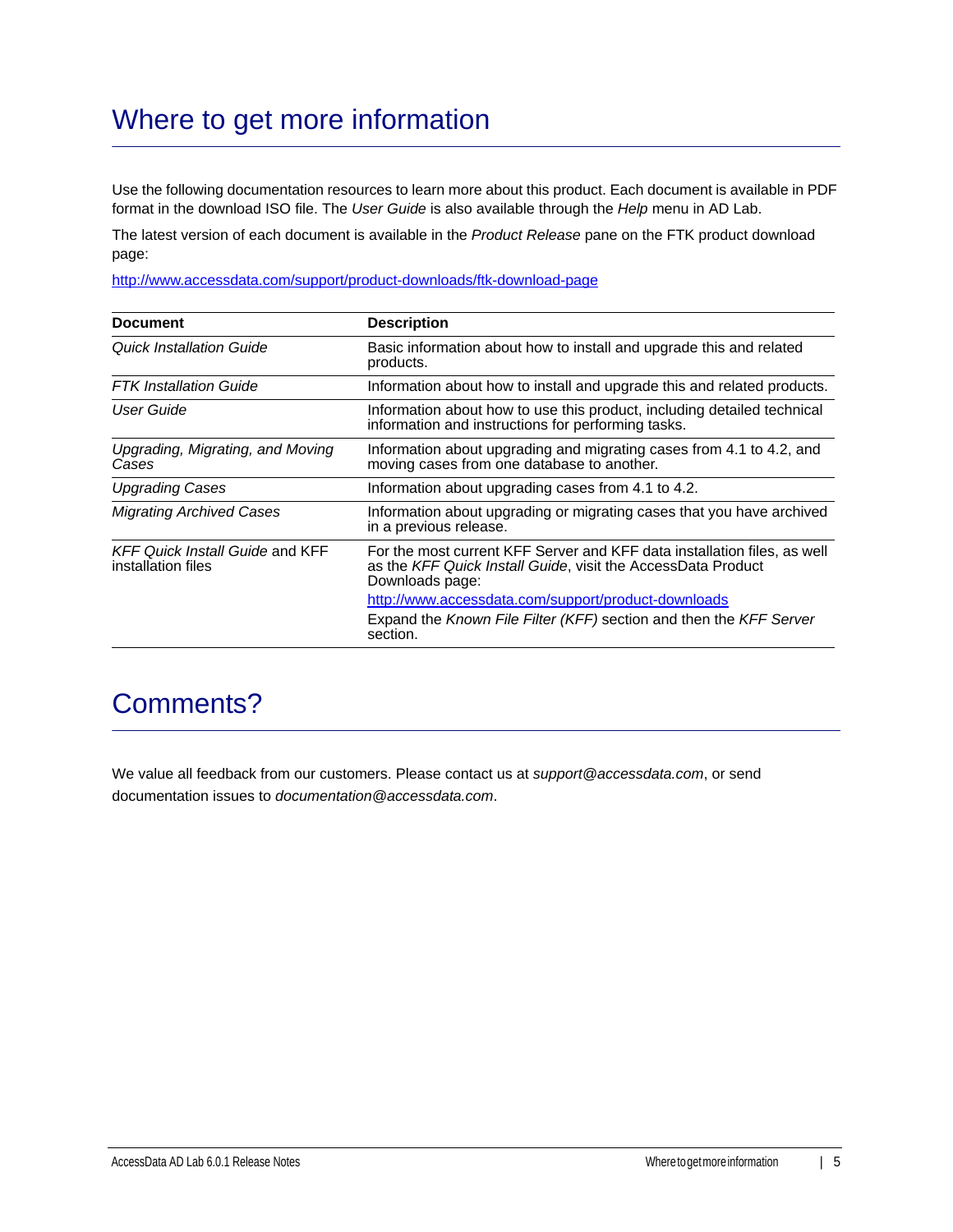# Where to get more information

Use the following documentation resources to learn more about this product. Each document is available in PDF format in the download ISO file. The *User Guide* is also available through the *Help* menu in AD Lab.

The latest version of each document is available in the *Product Release* pane on the FTK product download page:

http://www.accessdata.com/support/product-downloads/ftk-download-page

| <b>Document</b>                                              | <b>Description</b>                                                                                                                                          |
|--------------------------------------------------------------|-------------------------------------------------------------------------------------------------------------------------------------------------------------|
| <b>Quick Installation Guide</b>                              | Basic information about how to install and upgrade this and related<br>products.                                                                            |
| <b>FTK</b> Installation Guide                                | Information about how to install and upgrade this and related products.                                                                                     |
| User Guide                                                   | Information about how to use this product, including detailed technical<br>information and instructions for performing tasks.                               |
| Upgrading, Migrating, and Moving<br>Cases                    | Information about upgrading and migrating cases from 4.1 to 4.2, and<br>moving cases from one database to another.                                          |
| <b>Upgrading Cases</b>                                       | Information about upgrading cases from 4.1 to 4.2.                                                                                                          |
| <b>Migrating Archived Cases</b>                              | Information about upgrading or migrating cases that you have archived<br>in a previous release.                                                             |
| <b>KFF Quick Install Guide and KFF</b><br>installation files | For the most current KFF Server and KFF data installation files, as well<br>as the KFF Quick Install Guide, visit the AccessData Product<br>Downloads page: |
|                                                              | http://www.accessdata.com/support/product-downloads                                                                                                         |
|                                                              | Expand the Known File Filter (KFF) section and then the KFF Server<br>section.                                                                              |

## Comments?

We value all feedback from our customers. Please contact us at *support@accessdata.com*, or send documentation issues to *documentation@accessdata.com*.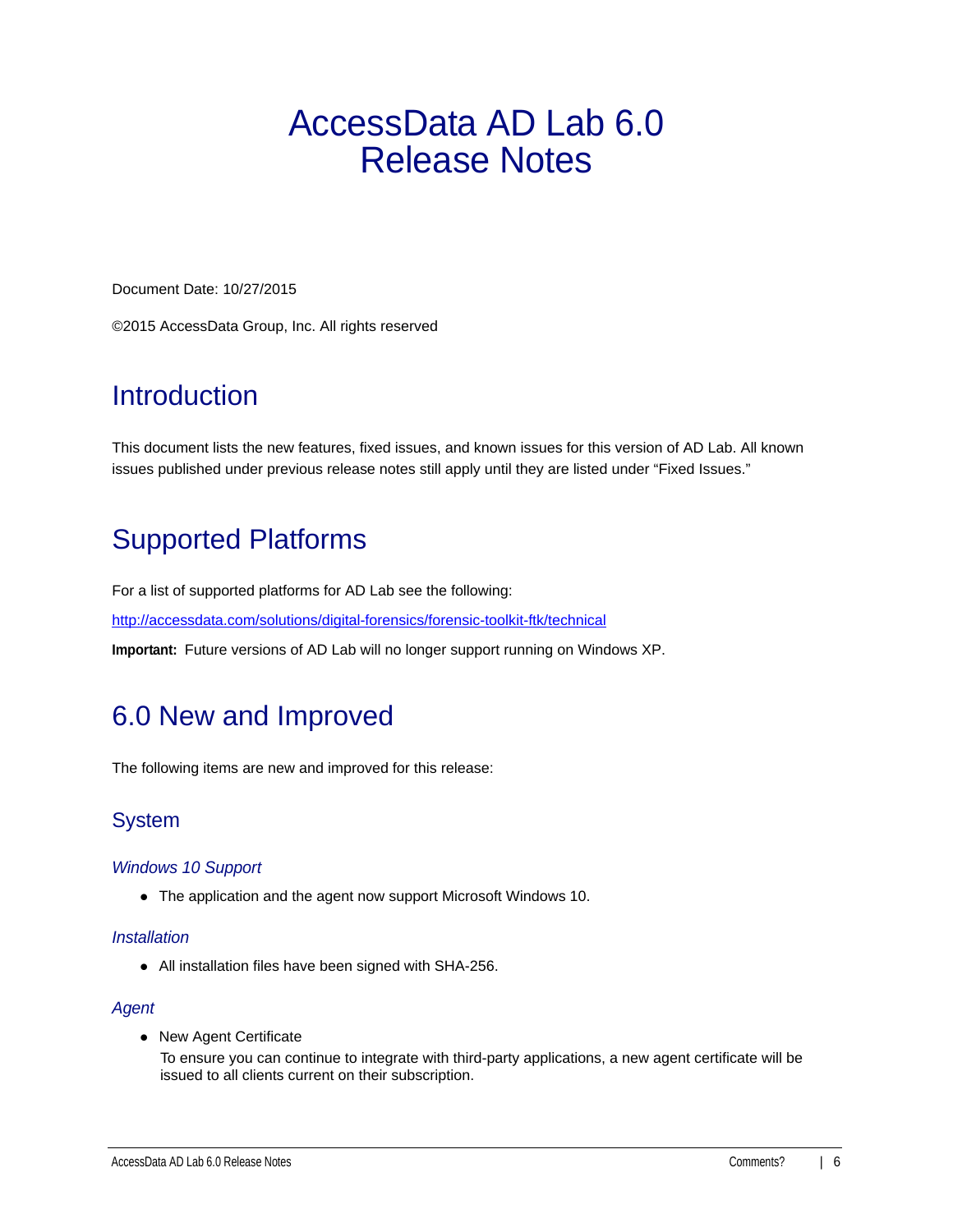# <span id="page-5-0"></span>AccessData AD Lab 6.0 Release Notes

Document Date: 10/27/2015

©2015 AccessData Group, Inc. All rights reserved

# **Introduction**

This document lists the new features, fixed issues, and known issues for this version of AD Lab. All known issues published under previous release notes still apply until they are listed under "Fixed Issues."

# Supported Platforms

For a list of supported platforms for AD Lab see the following:

<http://accessdata.com/solutions/digital-forensics/forensic-toolkit-ftk/technical>

**Important:** Future versions of AD Lab will no longer support running on Windows XP.

# 6.0 New and Improved

The following items are new and improved for this release:

## System

## *Windows 10 Support*

The application and the agent now support Microsoft Windows 10.

## *Installation*

All installation files have been signed with SHA-256.

## *Agent*

• New Agent Certificate

To ensure you can continue to integrate with third-party applications, a new agent certificate will be issued to all clients current on their subscription.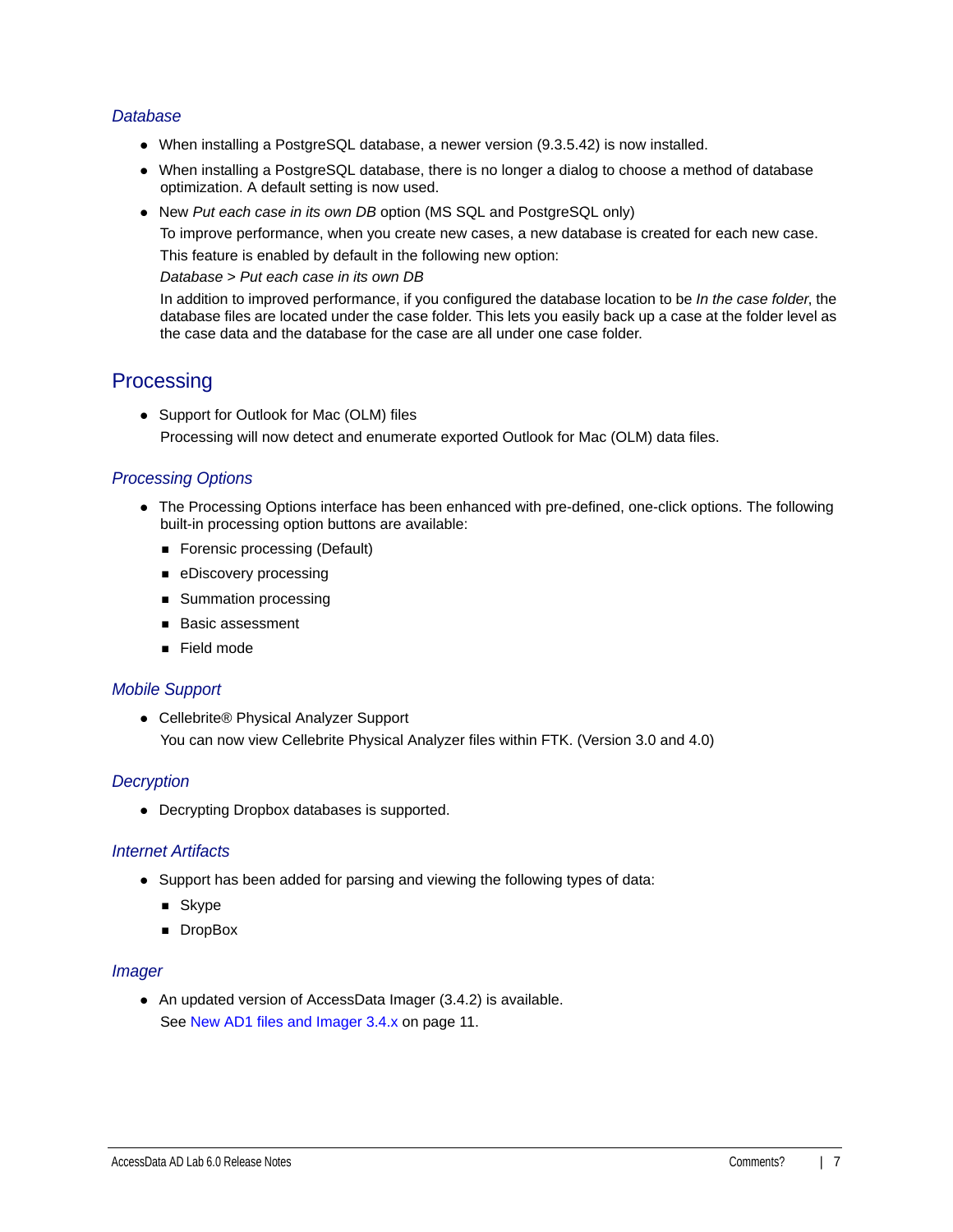## *Database*

- When installing a PostgreSQL database, a newer version (9.3.5.42) is now installed.
- When installing a PostgreSQL database, there is no longer a dialog to choose a method of database optimization. A default setting is now used.
- New *Put each case in its own DB* option (MS SQL and PostgreSQL only)

To improve performance, when you create new cases, a new database is created for each new case.

This feature is enabled by default in the following new option:

*Database* > *Put each case in its own DB*

In addition to improved performance, if you configured the database location to be *In the case folder*, the database files are located under the case folder. This lets you easily back up a case at the folder level as the case data and the database for the case are all under one case folder.

## **Processing**

• Support for Outlook for Mac (OLM) files Processing will now detect and enumerate exported Outlook for Mac (OLM) data files.

## *Processing Options*

- The Processing Options interface has been enhanced with pre-defined, one-click options. The following built-in processing option buttons are available:
	- Forensic processing (Default)
	- **eDiscovery processing**
	- **Summation processing**
	- **Basic assessment**
	- Field mode

## *Mobile Support*

● Cellebrite® Physical Analyzer Support You can now view Cellebrite Physical Analyzer files within FTK. (Version 3.0 and 4.0)

## *Decryption*

Decrypting Dropbox databases is supported.

## *Internet Artifacts*

- Support has been added for parsing and viewing the following types of data:
	- **B** Skype
	- **DropBox**

### *Imager*

An updated version of AccessData Imager (3.4.2) is available. [See New AD1 files and Imager 3.4.x on page 11.](#page-10-0)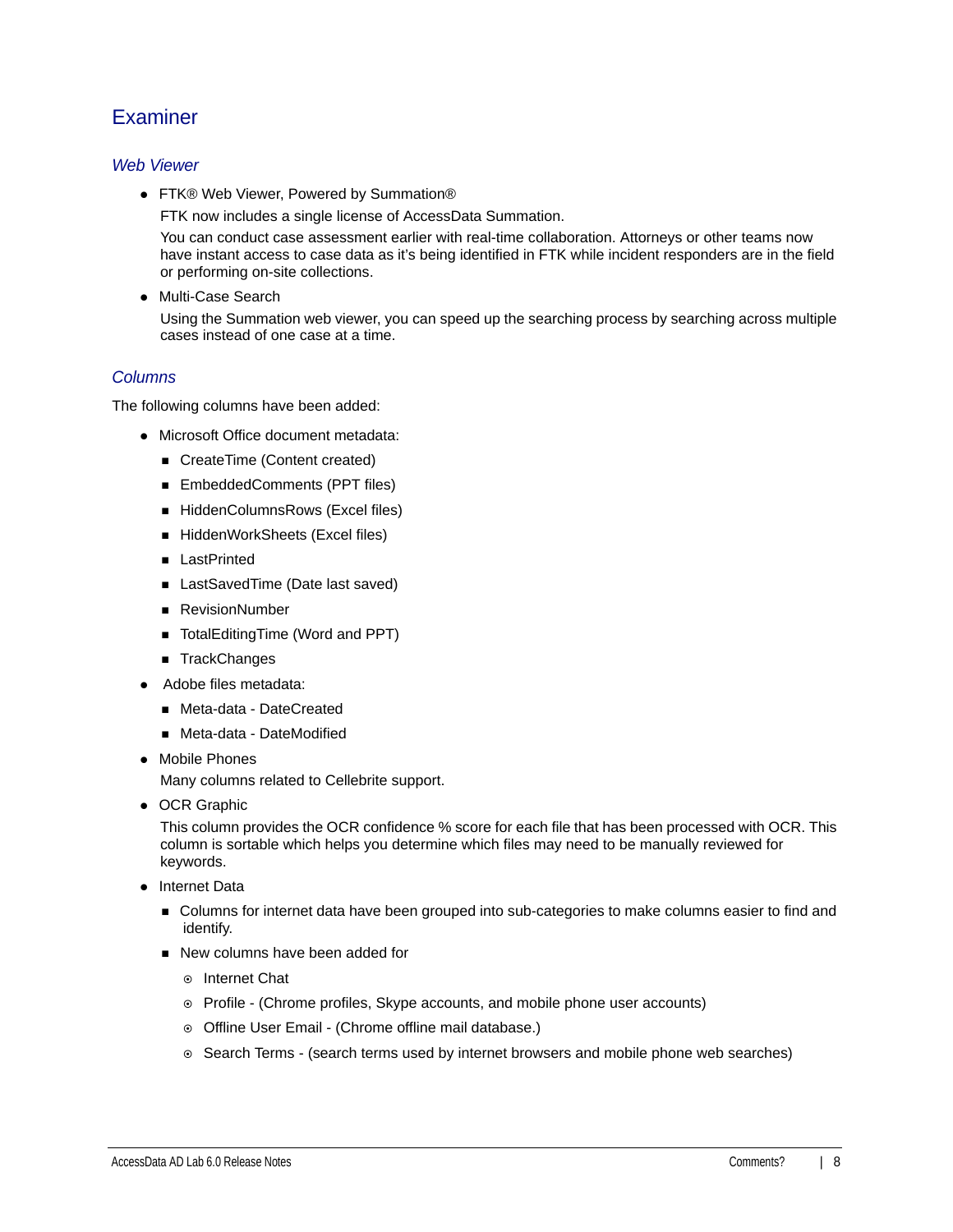## **Examiner**

## *Web Viewer*

● FTK® Web Viewer, Powered by Summation®

FTK now includes a single license of AccessData Summation.

You can conduct case assessment earlier with real-time collaboration. Attorneys or other teams now have instant access to case data as it's being identified in FTK while incident responders are in the field or performing on-site collections.

Multi-Case Search

Using the Summation web viewer, you can speed up the searching process by searching across multiple cases instead of one case at a time.

## *Columns*

The following columns have been added:

- Microsoft Office document metadata:
	- CreateTime (Content created)
	- EmbeddedComments (PPT files)
	- HiddenColumnsRows (Excel files)
	- HiddenWorkSheets (Excel files)
	- **LastPrinted**
	- LastSavedTime (Date last saved)
	- RevisionNumber
	- TotalEditingTime (Word and PPT)
	- TrackChanges
- Adobe files metadata:
	- Meta-data DateCreated
	- Meta-data DateModified
- Mobile Phones

Many columns related to Cellebrite support.

• OCR Graphic

This column provides the OCR confidence % score for each file that has been processed with OCR. This column is sortable which helps you determine which files may need to be manually reviewed for keywords.

- Internet Data
	- **DED Columns for internet data have been grouped into sub-categories to make columns easier to find and** identify.
	- New columns have been added for
		- **⊙** Internet Chat
		- Profile (Chrome profiles, Skype accounts, and mobile phone user accounts)
		- o Offline User Email (Chrome offline mail database.)
		- $\circ$  Search Terms (search terms used by internet browsers and mobile phone web searches)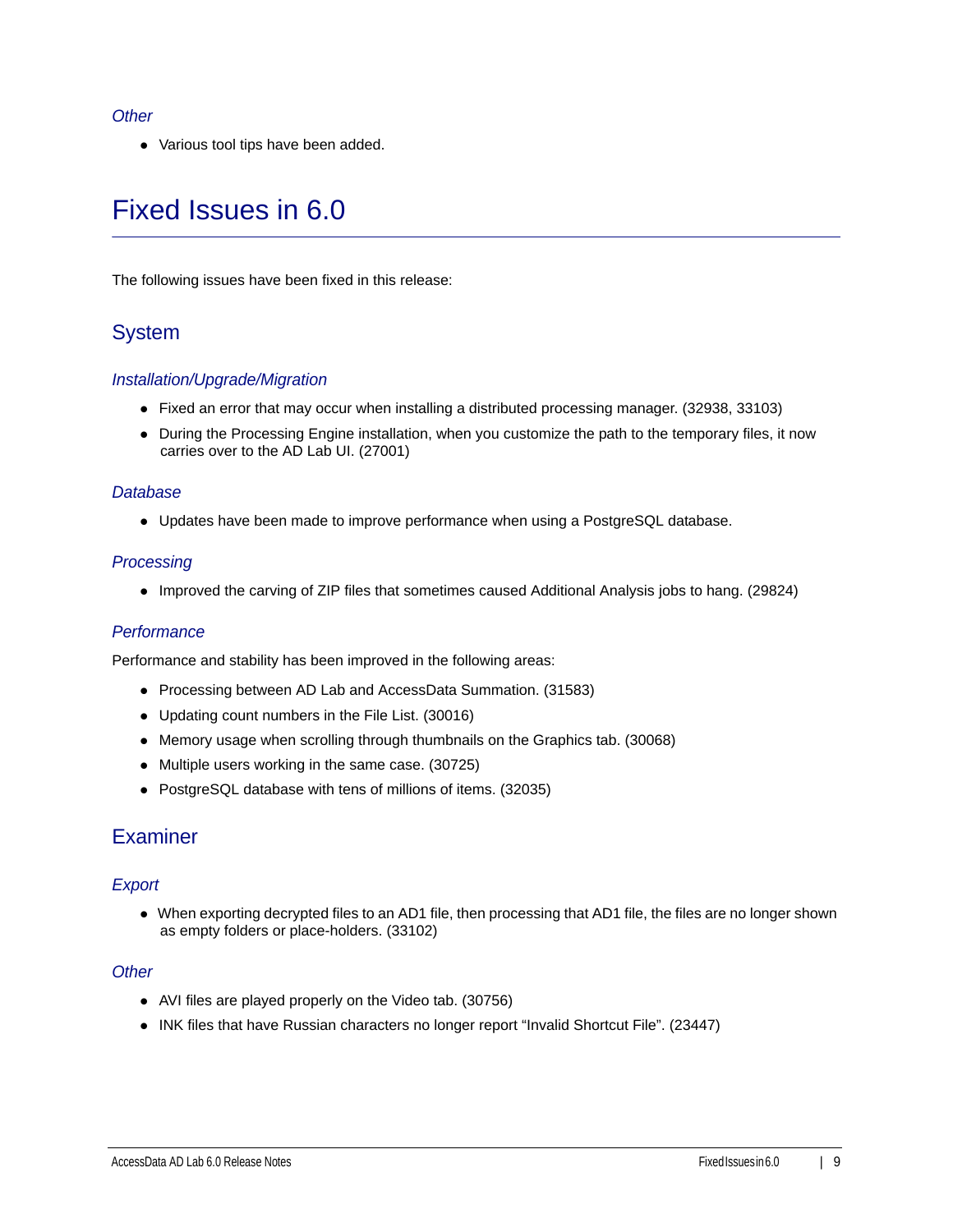### *Other*

Various tool tips have been added.

# Fixed Issues in 6.0

The following issues have been fixed in this release:

## System

## *Installation/Upgrade/Migration*

- Fixed an error that may occur when installing a distributed processing manager. (32938, 33103)
- During the Processing Engine installation, when you customize the path to the temporary files, it now carries over to the AD Lab UI. (27001)

### *Database*

Updates have been made to improve performance when using a PostgreSQL database.

### *Processing*

Improved the carving of ZIP files that sometimes caused Additional Analysis jobs to hang. (29824)

## *Performance*

Performance and stability has been improved in the following areas:

- Processing between AD Lab and AccessData Summation. (31583)
- Updating count numbers in the File List. (30016)
- Memory usage when scrolling through thumbnails on the Graphics tab. (30068)
- Multiple users working in the same case. (30725)
- PostgreSQL database with tens of millions of items. (32035)

## **Examiner**

## *Export*

When exporting decrypted files to an AD1 file, then processing that AD1 file, the files are no longer shown as empty folders or place-holders. (33102)

### *Other*

- AVI files are played properly on the Video tab. (30756)
- INK files that have Russian characters no longer report "Invalid Shortcut File". (23447)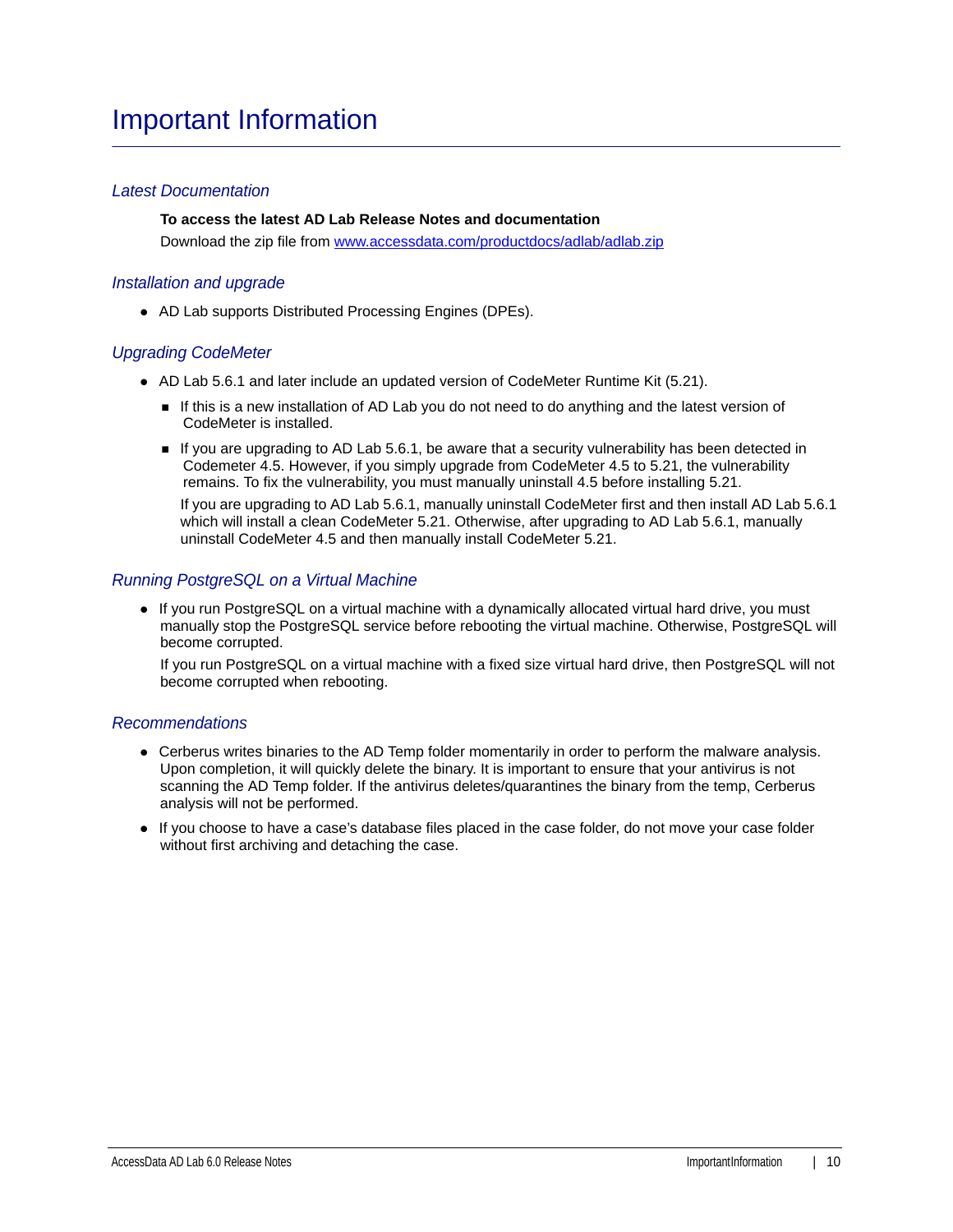## Important Information

## *Latest Documentation*

**To access the latest AD Lab Release Notes and documentation** Download the zip file from <www.accessdata.com/productdocs/adlab/adlab.zip>

### *Installation and upgrade*

AD Lab supports Distributed Processing Engines (DPEs).

### *Upgrading CodeMeter*

- AD Lab 5.6.1 and later include an updated version of CodeMeter Runtime Kit (5.21).
	- If this is a new installation of AD Lab you do not need to do anything and the latest version of CodeMeter is installed.
	- If you are upgrading to AD Lab 5.6.1, be aware that a security vulnerability has been detected in Codemeter 4.5. However, if you simply upgrade from CodeMeter 4.5 to 5.21, the vulnerability remains. To fix the vulnerability, you must manually uninstall 4.5 before installing 5.21.

If you are upgrading to AD Lab 5.6.1, manually uninstall CodeMeter first and then install AD Lab 5.6.1 which will install a clean CodeMeter 5.21. Otherwise, after upgrading to AD Lab 5.6.1, manually uninstall CodeMeter 4.5 and then manually install CodeMeter 5.21.

### *Running PostgreSQL on a Virtual Machine*

• If you run PostgreSQL on a virtual machine with a dynamically allocated virtual hard drive, you must manually stop the PostgreSQL service before rebooting the virtual machine. Otherwise, PostgreSQL will become corrupted.

If you run PostgreSQL on a virtual machine with a fixed size virtual hard drive, then PostgreSQL will not become corrupted when rebooting.

### *Recommendations*

- Cerberus writes binaries to the AD Temp folder momentarily in order to perform the malware analysis. Upon completion, it will quickly delete the binary. It is important to ensure that your antivirus is not scanning the AD Temp folder. If the antivirus deletes/quarantines the binary from the temp, Cerberus analysis will not be performed.
- If you choose to have a case's database files placed in the case folder, do not move your case folder without first archiving and detaching the case.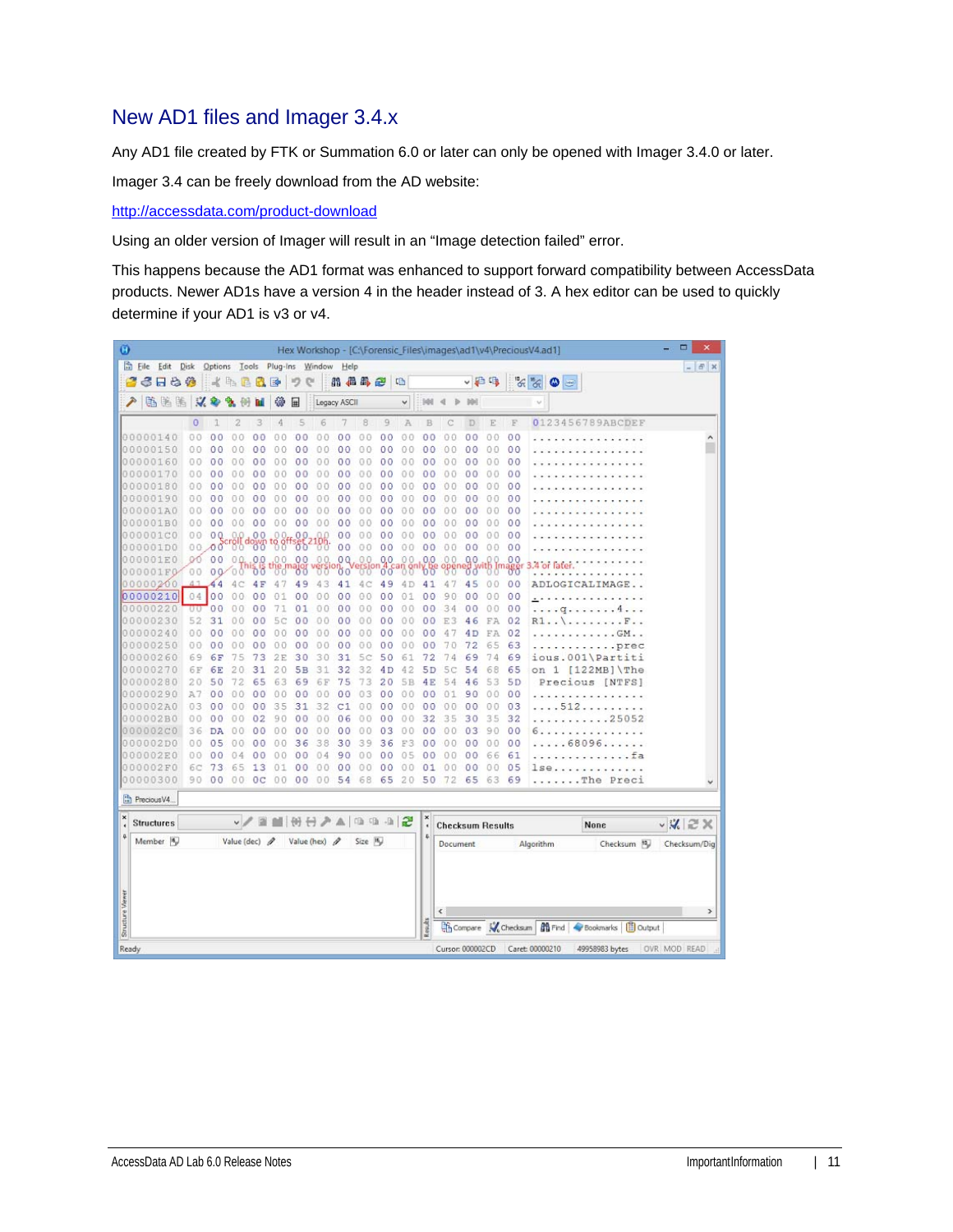## <span id="page-10-0"></span>New AD1 files and Imager 3.4.x

Any AD1 file created by FTK or Summation 6.0 or later can only be opened with Imager 3.4.0 or later.

Imager 3.4 can be freely download from the AD website:

<http://accessdata.com/product-download>

Using an older version of Imager will result in an "Image detection failed" error.

This happens because the AD1 format was enhanced to support forward compatibility between AccessData products. Newer AD1s have a version 4 in the header instead of 3. A hex editor can be used to quickly determine if your AD1 is v3 or v4.

| Ø                       |                      |                |                |                     |                          |                     |                      |                                    |                |          |                      |               |                 |                         |                |                |                | Hex Workshop - [C:\Forensic_Files\images\ad1\v4\PreciousV4.ad1]           | □<br>$\boldsymbol{\mathsf{x}}$ |
|-------------------------|----------------------|----------------|----------------|---------------------|--------------------------|---------------------|----------------------|------------------------------------|----------------|----------|----------------------|---------------|-----------------|-------------------------|----------------|----------------|----------------|---------------------------------------------------------------------------|--------------------------------|
|                         | Eile Edit Disk       |                |                |                     |                          |                     |                      | Options Tools Plug-Ins Window Help |                |          |                      |               |                 |                         |                |                |                |                                                                           | $  \in$ $x$                    |
|                         | 6 F & &              |                |                | KABBE               |                          |                     | 吵<br>$\mathbb{C}^n$  |                                    |                | 用品品色     |                      | 吗             |                 |                         |                | ↓日吗            |                | $\frac{1}{\sqrt{2}}\frac{1}{\sqrt{2}}\frac{1}{\sqrt{2}}$<br>٥<br>$\equiv$ |                                |
|                         | 临海路                  |                | $\mathcal{A}$  |                     |                          | 镲                   | 匣                    |                                    | Legacy ASCII   |          |                      | $\checkmark$  | 94              |                         |                |                |                |                                                                           |                                |
|                         |                      | $\circ$        | 7              | 2                   | 3                        | 4                   | 5                    | 6                                  |                | 8        | 9                    | A             | B               |                         | D              | E              | E              | 0123456789ABCDEF                                                          |                                |
|                         | 00000140             | 0 <sub>0</sub> | 0 <sup>0</sup> | 00                  | 00                       | 00                  | 0 <sub>0</sub>       | 0.0                                | 0<br>0         | 00       | 00                   | 00            | 0 <sub>0</sub>  | 0                       | 0 <sub>0</sub> | 0 <sub>0</sub> | 00             |                                                                           | ۸                              |
|                         | 00000150             | 00             | ٥<br>$\Omega$  | 0                   | ٥<br>$\Omega$            | 00                  | ٥<br>$\Omega$        | O<br>0                             | 0<br>0         | 00       | 0 <sup>0</sup>       | 0<br>0        | 0 <sup>0</sup>  | 0<br>0                  | 00             | 00             | 00             |                                                                           |                                |
|                         | 00000160             | 00             | 0 <sub>0</sub> | 00                  | 00                       | 00                  | 00                   | 00                                 | 0<br>0         | 00       | 0 <sub>0</sub>       | 0.0           | 00              | 00                      | 00             | 0.0            | 00             |                                                                           |                                |
|                         | 00000170             | 00             | 00             | 00                  | 00                       | 00                  | 00                   | 00                                 | 0 <sub>0</sub> | 00       | 0 <sup>0</sup>       | 00            | 00              | 00                      | 00             | 00             | 00             |                                                                           |                                |
|                         | 00000180             | 00             | 0 <sup>0</sup> | 0<br>0              | 00                       | 00                  | 0<br>0               | 0<br>Ð                             | 0<br>0         | 00       | 00                   | 0.0           | 00              | 0.<br>0                 | 00             | 0.0            | 00             |                                                                           |                                |
|                         | 00000190             | 0.0            | 00             | 00                  | 00                       | 00                  | 00                   | 00                                 | 00             | 0.0      | 00                   | 0.0           | 00              | 0 <sub>0</sub>          | 00             | 00             | 00             |                                                                           |                                |
|                         | 000001A0             | 00             | 0 <sup>0</sup> | 0<br>0              | $\ddot{\mathbf{0}}$<br>0 | O O                 | 0<br>$\circ$         | Ō<br>0                             | 0<br>0         | 00       | 0 <sub>0</sub>       | 00            | 0 <sup>0</sup>  | 0<br>0                  | 00             | 00             | 00             |                                                                           |                                |
|                         | 000001B0             | 0.0            | 0 <sup>0</sup> | 00                  | 00                       | 00                  | 00                   | 00                                 | 0 <sup>0</sup> | 00       | 0 <sup>0</sup>       | O<br>$\Omega$ | 00              | 0<br>0                  | 00             | 00             | 00             |                                                                           |                                |
|                         | 000001C0             | 00             | 0Q             | 0.0                 | 00                       | 0<br>$^{18}$ $^{8}$ | 0 <sup>0</sup>       |                                    | 0 <sup>0</sup> | 00       | 0 <sup>0</sup>       | 00            | 00              | 00                      | 00             | 0 <sup>0</sup> | 00             |                                                                           |                                |
|                         | 000001D0             |                | 00.00          |                     | <b>Bildown</b>           |                     | 0p-                  | $^{190}$                           | 00             | 00       | 0 <sub>0</sub>       | 00            | 0 <sup>o</sup>  | 00                      | 0 <sup>0</sup> | 00             | 00             |                                                                           |                                |
|                         | 000001E0             | 00             | 00             | 00.                 | 0.0                      | .00.                | 00                   | 00                                 | 0Q             | 0.0      | 0.0                  | 00            | 0.0             | 00                      | 00             | 00             | 00<br>958      | 4 or later                                                                |                                |
|                         | 000001F0             | 00             |                | 00'00               | ðδ                       |                     | ზზ                   |                                    | ΩO.            |          | 00                   |               | ზზ              |                         | შშ             |                |                |                                                                           |                                |
|                         | 00000200             |                | 44             | 4<br>c              | 4F                       | 47                  | 49                   | 43                                 | 41             | 4C       | 49                   | 4 D           | 41              | 4<br>7                  | 45             | 00             | 00             | ADLOGICALIMAGE                                                            |                                |
|                         | 00000210<br>00000220 |                | 04 00          | 0 <sub>0</sub><br>0 | 0 <sup>0</sup>           | 01                  | 0 <sup>0</sup>       | 00<br>00                           | 0 <sub>0</sub> | 00<br>00 | 0 <sup>0</sup>       | 01<br>00      | 0 <sub>0</sub>  | 9<br>0                  | 00             | 0 <sub>0</sub> | 00             | .                                                                         |                                |
|                         | 00000230             | ००<br>52       | 00<br>31       | Ö<br>0              | 00<br>00                 | 71<br>5<br>Ċ        | 01<br>0 <sup>0</sup> | 00                                 | 00<br>00       | 00       | 00<br>0 <sup>0</sup> | 00            | 00<br>00        | 34<br>E<br>3            | 00<br>46       | 0.0<br>FA      | 00<br>02       | .4.<br>q.                                                                 |                                |
|                         | 00000240             | 0.0            | 0 <sup>0</sup> | 00                  | 00                       | 00                  | 00                   | 0.0                                | 0 <sub>0</sub> | 00       | 00                   | 00            | 00              | 4                       | 4D             | FA             | 02             | R1.<br>$F$ .                                                              |                                |
|                         | 00000250             | 00             | 00             | 00                  | 00                       | 00                  | 00                   | 00                                 | 00             | 00       | 0 <sub>0</sub>       | 00            | 00              | 70                      | 72             | 65             | 63             | .GM.                                                                      |                                |
|                         | 00000260             | 69             | 6F             | 75                  | 73                       | 2E                  | 30                   | 30                                 | 31             | 5c       | 50                   | 61            | 72              | 74                      | 69             | 74             | 69             | prec<br>ious.001\Partiti                                                  |                                |
|                         | 00000270             | 6F             | 6E             | 20                  | 31                       | 20                  | 5в                   | 31                                 | 32             | 32       | 4D                   | 42            | 5 <sub>D</sub>  | 5c                      | 54             | 68             | 65             | 1<br>$[122MB]$ The<br>on                                                  |                                |
|                         | 00000280             | 20             | 50             | 72                  | 65                       | 63                  | 69                   | 6F                                 | 75             | 73       | 20                   | 5B            | 4E              | 54                      | 46             | 53             | 5 <sub>D</sub> | Precious [NTFS]                                                           |                                |
|                         | 00000290             | A7             | 0 <sup>0</sup> | 00                  | 00                       | 00                  | 00                   | 00                                 | 0<br>0         | 03       | 00                   | 00            | 00              | 01                      | 90             | 00             | 00             |                                                                           |                                |
|                         | 000002A0             | 03             | 00             | 00                  | 00                       | 35                  | 31                   | 32                                 | C1             | 00       | 00                   | 00            | 0 <sup>0</sup>  | 0 <sub>0</sub>          | 00             | 00             | 03             | .512                                                                      |                                |
|                         | 000002B0             | 00             | 00             | 00                  | 02                       | 90                  | 0 <sub>0</sub>       | 0.0                                | 06             | 00       | 00                   | 00            | 32              | 35                      | 30             | 35             | 32             | $\ldots \ldots 25052$                                                     |                                |
|                         | 000002C0             | 36             | <b>DA</b>      | 0<br>0              | 0 <sup>0</sup>           | 00                  | 00                   | 00                                 | 0 <sub>0</sub> | 00       | 03                   | 00            | 00              | 0<br>0                  | 03             | 90             | 00             | .                                                                         |                                |
|                         | 000002D0             | 00             | 05             | 0<br>0              | 00                       | 0.0                 | 36                   | 38                                 | 30             | 39       | 36                   | F3            | 00              | 0<br>0                  | 00             | 0.0            | 00             | .68096                                                                    |                                |
|                         | 000002E0             | 0 <sub>0</sub> | 0 <sub>0</sub> |                     | 00                       |                     | 00                   | 04                                 | 90             | 00       | 00                   | 05            | 00              | 0                       | 00             | 66             | 61             | $-11111$                                                                  |                                |
|                         | 000002F0             | бС             | 73             | 5<br>6              | 13                       | 01                  | 00                   | 00                                 | 0 <sup>0</sup> | 00       | 00                   | 00            | 01              | 0 <sub>0</sub>          | 00             | 0 <sup>0</sup> | 05             | lse                                                                       |                                |
|                         | 00000300             | 90             | 00             | 00                  | 0 <sup>c</sup>           | 00                  | 0 <sub>0</sub>       | 00                                 | 54             | 68       | 65                   | 20            | 50              | 72                      | 65             | 63             | 69             | The Preci                                                                 |                                |
|                         | Precious V4.         |                |                |                     |                          |                     |                      |                                    |                |          |                      |               |                 |                         |                |                |                |                                                                           |                                |
|                         |                      |                |                |                     |                          |                     |                      |                                    |                |          |                      |               | ×               |                         |                |                |                |                                                                           |                                |
|                         | <b>Structures</b>    |                |                |                     | $\sqrt{2}$               |                     |                      | IBH 공기 A   매매매 2                   |                |          |                      |               | $\epsilon$<br>4 | <b>Checksum Results</b> |                |                |                | None                                                                      | $\vee$ X $\approx$ X           |
|                         | Member <sub>16</sub> |                |                | Value (dec) $\rho$  |                          |                     |                      | Value (hex) 2                      |                | Size In  |                      |               |                 | Document                |                |                |                | Checksum 10<br>Algorithm                                                  | Checksum/Dig                   |
|                         |                      |                |                |                     |                          |                     |                      |                                    |                |          |                      |               |                 |                         |                |                |                |                                                                           |                                |
|                         |                      |                |                |                     |                          |                     |                      |                                    |                |          |                      |               |                 | ¢                       |                |                |                |                                                                           | $\rightarrow$                  |
| <b>Structure Viewer</b> |                      |                |                |                     |                          |                     |                      |                                    |                |          |                      |               | Reads           |                         |                |                |                | Compare W Checksum   G Find   Bookmarks   C Output                        |                                |
| Ready                   |                      |                |                |                     |                          |                     |                      |                                    |                |          |                      |               |                 | Cursor: 000002CD        |                |                |                | Caret: 00000210<br>49958983 bytes                                         | OVR MOD READ                   |